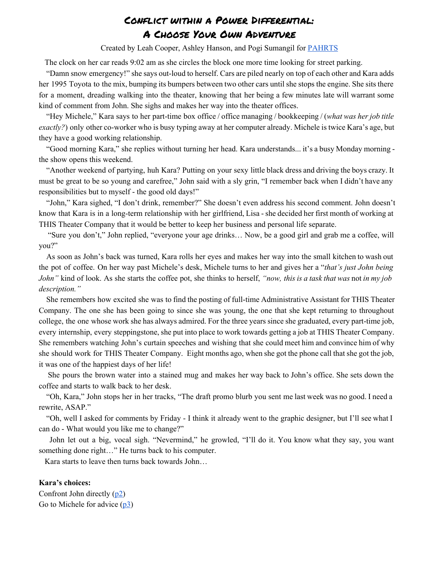Created by Leah Cooper, Ashley Hanson, and Pogi Sumangil for [PAHRTS](http://pahrts.mntheateralliance.org/)

The clock on her car reads 9:02 am as she circles the block one more time looking for street parking.

"Damn snow emergency!" she says out-loud to herself. Cars are piled nearly on top of each other and Kara adds her 1995 Toyota to the mix, bumping its bumpers between two other cars until she stops the engine. She sits there for a moment, dreading walking into the theater, knowing that her being a few minutes late will warrant some kind of comment from John. She sighs and makes her way into the theater offices.

"Hey Michele," Kara says to her part-time box office / office managing / bookkeeping / (*what was her job title exactly?*) only other co-worker who is busy typing away at her computer already. Michele is twice Kara's age, but they have a good working relationship.

"Good morning Kara," she replies without turning her head. Kara understands... it's a busy Monday morning the show opens this weekend.

"Another weekend of partying, huh Kara? Putting on your sexy little black dress and driving the boys crazy. It must be great to be so young and carefree," John said with a sly grin, "I remember back when I didn't have any responsibilities but to myself - the good old days!"

"John," Kara sighed, "I don't drink, remember?" She doesn't even address his second comment. John doesn't know that Kara is in a long-term relationship with her girlfriend, Lisa - she decided her first month of working at THIS Theater Company that it would be better to keep her business and personal life separate.

"Sure you don't," John replied, "everyone your age drinks… Now, be a good girl and grab me a coffee, will you?"

As soon as John's back was turned, Kara rolls her eyes and makes her way into the small kitchen to wash out the pot of coffee. On her way past Michele's desk, Michele turns to her and gives her a "*that's just John being John"* kind of look. As she starts the coffee pot, she thinks to herself, *"now, this is a task that was* not *in my job description."*

She remembers how excited she was to find the posting of full-time Administrative Assistant for THIS Theater Company. The one she has been going to since she was young, the one that she kept returning to throughout college, the one whose work she has always admired. For the three years since she graduated, every parttime job, every internship, every steppingstone, she put into place to work towards getting a job at THIS Theater Company. She remembers watching John's curtain speeches and wishing that she could meet him and convince him of why she should work for THIS Theater Company. Eight months ago, when she got the phone call that she got the job, it was one of the happiest days of her life!

She pours the brown water into a stained mug and makes her way back to John's office. She sets down the coffee and starts to walk back to her desk.

"Oh, Kara," John stops her in her tracks, "The draft promo blurb you sent me last week was no good. I need a rewrite, ASAP."

"Oh, well I asked for comments by Friday I think it already went to the graphic designer, but I'll see what I can do - What would you like me to change?"

John let out a big, vocal sigh. "Nevermind," he growled, "I'll do it. You know what they say, you want something done right…" He turns back to his computer.

Kara starts to leave then turns back towards John…

#### **Kara's choices:**

Confront John directly ([p2\)](#page-1-0) Go to Michele for advice [\(p3\)](#page-2-0)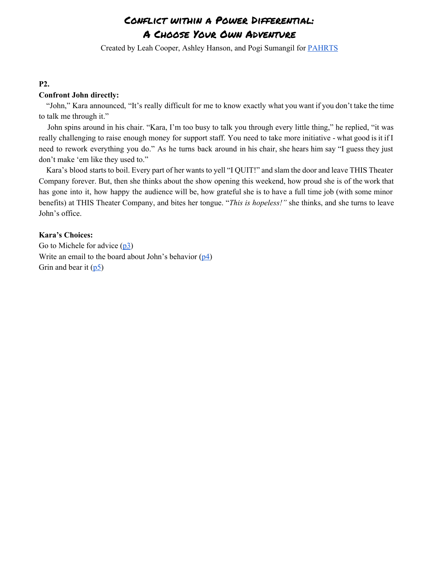Created by Leah Cooper, Ashley Hanson, and Pogi Sumangil for [PAHRTS](http://pahrts.mntheateralliance.org/)

## <span id="page-1-0"></span>**P2.**

### **Confront John directly:**

"John," Kara announced, "It's really difficult for me to know exactly what you want if you don't take the time to talk me through it."

John spins around in his chair. "Kara, I'm too busy to talk you through every little thing," he replied, "it was really challenging to raise enough money for support staff. You need to take more initiative - what good is it if I need to rework everything you do." As he turns back around in his chair, she hears him say "I guess they just don't make 'em like they used to."

Kara's blood starts to boil. Every part of her wants to yell "I QUIT!" and slam the door and leave THIS Theater Company forever. But, then she thinks about the show opening this weekend, how proud she is of the work that has gone into it, how happy the audience will be, how grateful she is to have a full time job (with some minor benefits) at THIS Theater Company, and bites her tongue. "*This is hopeless!"* she thinks, and she turns to leave John's office.

## **Kara's Choices:**

Go to Michele for advice [\(p3\)](#page-2-0) Write an email to the board about John's behavior  $(p_4)$ Grin and bear it  $(p5)$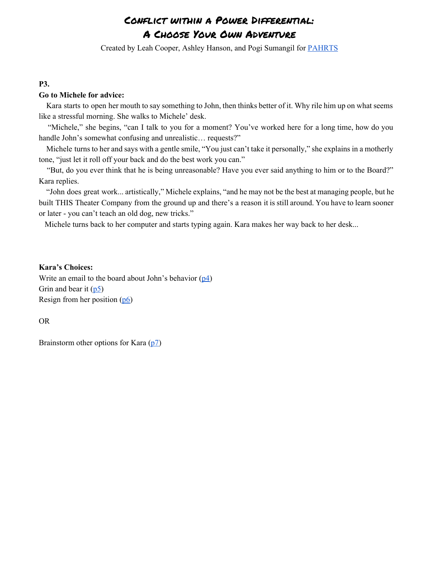Created by Leah Cooper, Ashley Hanson, and Pogi Sumangil for [PAHRTS](http://pahrts.mntheateralliance.org/)

### <span id="page-2-0"></span>**P3.**

### **Go to Michele for advice:**

Kara starts to open her mouth to say something to John, then thinks better of it. Why rile him up on what seems like a stressful morning. She walks to Michele' desk.

"Michele," she begins, "can I talk to you for a moment? You've worked here for a long time, how do you handle John's somewhat confusing and unrealistic... requests?"

Michele turns to her and says with a gentle smile, "You just can't take it personally," she explains in a motherly tone, "just let it roll off your back and do the best work you can."

"But, do you ever think that he is being unreasonable? Have you ever said anything to him or to the Board?" Kara replies.

"John does great work... artistically," Michele explains, "and he may not be the best at managing people, but he built THIS Theater Company from the ground up and there's a reason it is still around. You have to learn sooner or later - you can't teach an old dog, new tricks."

Michele turns back to her computer and starts typing again. Kara makes her way back to her desk...

#### **Kara's Choices:**

Write an email to the board about John's behavior ([p4\)](#page-3-0) Grin and bear it  $(p5)$ Resign from her position [\(p6\)](#page-5-0)

OR

Brainstorm other options for Kara [\(p7\)](#page-6-0)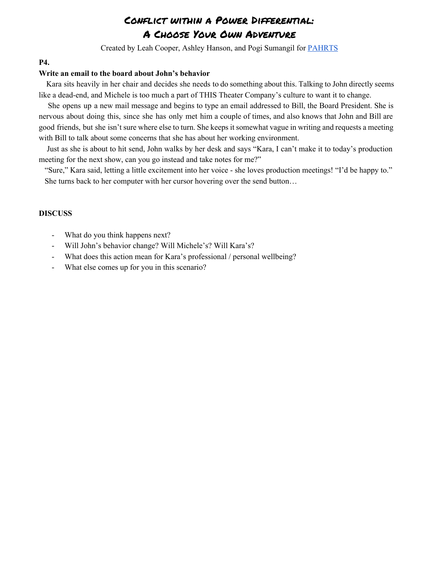Created by Leah Cooper, Ashley Hanson, and Pogi Sumangil for [PAHRTS](http://pahrts.mntheateralliance.org/)

### <span id="page-3-0"></span>**P4.**

#### **Write an email to the board about John's behavior**

Kara sits heavily in her chair and decides she needs to do something about this. Talking to John directly seems like a dead-end, and Michele is too much a part of THIS Theater Company's culture to want it to change.

She opens up a new mail message and begins to type an email addressed to Bill, the Board President. She is nervous about doing this, since she has only met him a couple of times, and also knows that John and Bill are good friends, but she isn't sure where else to turn. She keeps it somewhat vague in writing and requests a meeting with Bill to talk about some concerns that she has about her working environment.

Just as she is about to hit send, John walks by her desk and says "Kara, I can't make it to today's production meeting for the next show, can you go instead and take notes for me?"

"Sure," Kara said, letting a little excitement into her voice she loves production meetings! "I'd be happy to." She turns back to her computer with her cursor hovering over the send button…

- What do you think happens next?
- Will John's behavior change? Will Michele's? Will Kara's?
- What does this action mean for Kara's professional / personal wellbeing?
- What else comes up for you in this scenario?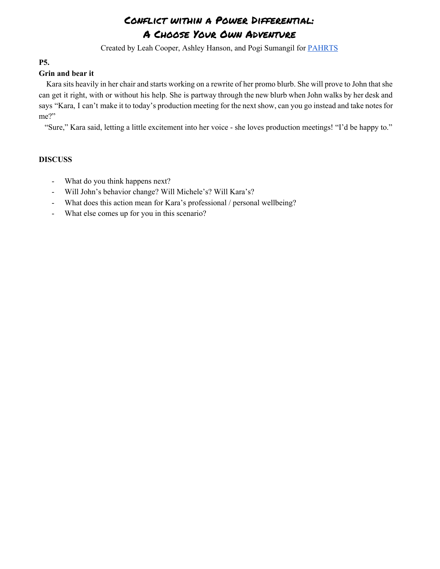Created by Leah Cooper, Ashley Hanson, and Pogi Sumangil for [PAHRTS](http://pahrts.mntheateralliance.org/)

# <span id="page-4-0"></span>**P5.**

## **Grin and bear it**

Kara sits heavily in her chair and starts working on a rewrite of her promo blurb. She will prove to John that she can get it right, with or without his help. She is partway through the new blurb when John walks by her desk and says "Kara, I can't make it to today's production meeting for the next show, can you go instead and take notes for me?"

"Sure," Kara said, letting a little excitement into her voice she loves production meetings! "I'd be happy to."

- What do you think happens next?
- Will John's behavior change? Will Michele's? Will Kara's?
- What does this action mean for Kara's professional / personal wellbeing?
- What else comes up for you in this scenario?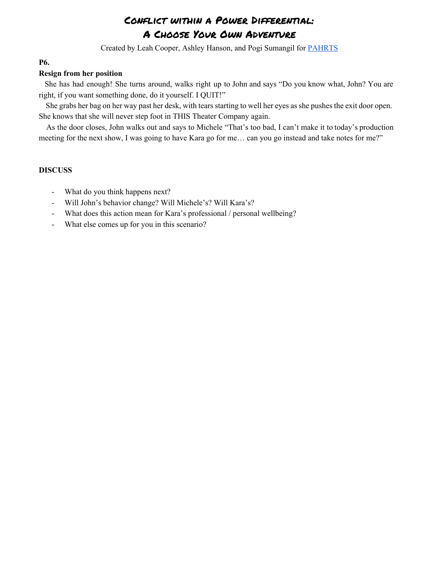Created by Leah Cooper, Ashley Hanson, and Pogi Sumangil for [PAHRTS](http://pahrts.mntheateralliance.org/)

## <span id="page-5-0"></span>**P6.**

## **Resign from her position**

She has had enough! She turns around, walks right up to John and says "Do you know what, John? You are right, if you want something done, do it yourself. I QUIT!"

She grabs her bag on her way past her desk, with tears starting to well her eyes as she pushes the exit door open. She knows that she will never step foot in THIS Theater Company again.

As the door closes, John walks out and says to Michele "That's too bad, I can't make it to today's production meeting for the next show, I was going to have Kara go for me… can you go instead and take notes for me?"

- What do you think happens next?
- Will John's behavior change? Will Michele's? Will Kara's?
- What does this action mean for Kara's professional / personal wellbeing?
- What else comes up for you in this scenario?